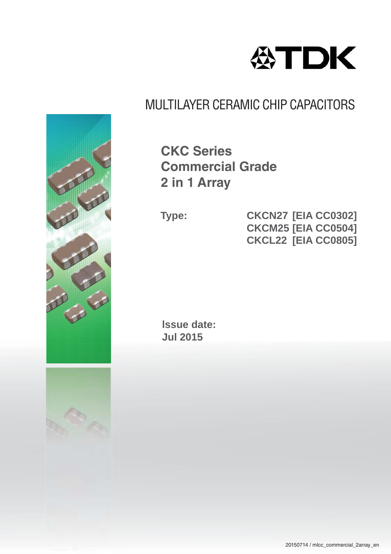

## MULTILAYER CERAMIC CHIP CAPACITORS

**CKC Series Commercial Grade 2 in 1 Array**

**Type: CKCN27 [EIA CC0302] CKCM25[EIA CC0504] CKCL22 [EIA CC0805]**

**lssue date: Jul 2015**

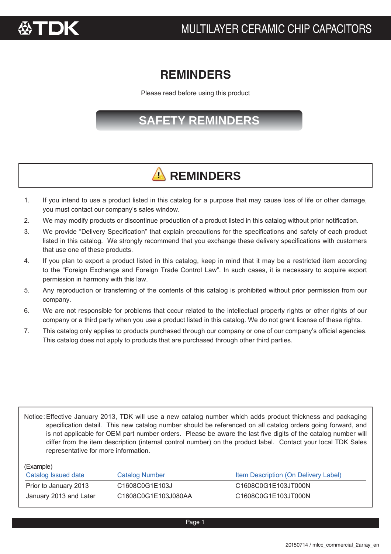

### **REMINDERS REMINDERS**

Please read before using this product

### **SAFETY REMINDERS**

## **A** REMINDERS

- 1. If you intend to use a product listed in this catalog for a purpose that may cause loss of life or other damage, you must contact our company's sales window.
- 2. We may modify products or discontinue production of a product listed in this catalog without prior notification.
- 3. We provide "Delivery Specification" that explain precautions for the specifications and safety of each product listed in this catalog. We strongly recommend that you exchange these delivery specifications with customers that use one of these products.
- 4. If you plan to export a product listed in this catalog, keep in mind that it may be a restricted item according to the "Foreign Exchange and Foreign Trade Control Law". In such cases, it is necessary to acquire export permission in harmony with this law.
- 5. Any reproduction or transferring of the contents of this catalog is prohibited without prior permission from our company.
- 6. We are not responsible for problems that occur related to the intellectual property rights or other rights of our company or a third party when you use a product listed in this catalog. We do not grant license of these rights.
- 7. This catalog only applies to products purchased through our company or one of our company's official agencies. This catalog does not apply to products that are purchased through other third parties.

Notice: Effective January 2013, TDK will use a new catalog number which adds product thickness and packaging specification detail. This new catalog number should be referenced on all catalog orders going forward, and is not applicable for OEM part number orders. Please be aware the last five digits of the catalog number will differ from the item description (internal control number) on the product label. Contact your local TDK Sales representative for more information.

(Example)

| $\sim$ $\sim$ $\sim$ $\sim$ $\sim$ $\sim$<br>Catalog Issued date | Catalog Number      | Item Description (On Delivery Label) |
|------------------------------------------------------------------|---------------------|--------------------------------------|
| Prior to January 2013                                            | C1608C0G1E103J      | C1608C0G1E103JT000N                  |
| January 2013 and Later                                           | C1608C0G1E103J080AA | C1608C0G1E103JT000N                  |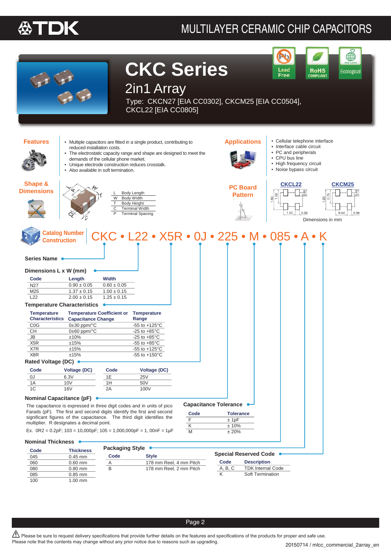#### 公丁 TDK

### MULTILAYER CERAMIC CHIP CAPACITORS



Page 2

 $\mathbb{\Delta}$  Please be sure to request delivery specifications that provide further details on the features and specifications of the products for proper and safe use. Please note that the contents may change without any prior notice due to reasons such as upgrading.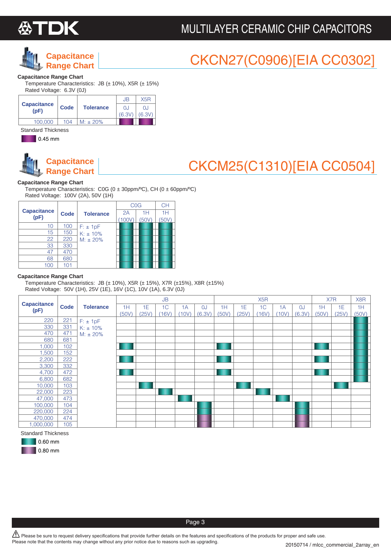

### MULTILAYER CERAMIC CHIP CAPACITORS



### CKCN27(C0906)[EIA CC0302]

#### **Capacitance Range Chart**

Temperature Characteristics: JB (± 10%), X5R (± 15%) Rated Voltage: 6.3V (0J)

|                            |             |                  | JB           | X5R           |
|----------------------------|-------------|------------------|--------------|---------------|
| <b>Capacitance</b><br>(DF) | <b>Code</b> | <b>Tolerance</b> | 0.<br>(6.3V) | OJ.<br>(6.3V) |
|                            |             |                  |              |               |
| 100.000                    | 104         | $M: 120\%$       |              |               |

Standard Thickness

**1** 0.45 mm

٠



### CKCM25(C1310)[EIA CC0504]

#### **Capacitance Range Chart**

Temperature Characteristics: C0G (0 ± 30ppm/ºC), CH (0 ± 60ppm/ºC) Rated Voltage: 100V (2A), 50V (1H)

|                            |             |                  | <b>COG</b> |           | <b>CH</b> |
|----------------------------|-------------|------------------|------------|-----------|-----------|
| <b>Capacitance</b><br>(pF) | <b>Code</b> | <b>Tolerance</b> | 2A<br>100\ | 1H<br>50V | 1H<br>50V |
| 10                         | 100         | $F: \pm 1pF$     |            |           |           |
| 15                         | 150         | $K: \pm 10\%$    |            |           |           |
| 22                         | 220         | $M: \pm 20\%$    |            |           |           |
| 33                         | 330         |                  |            |           |           |
| 47                         | 470         |                  |            |           |           |
| 68                         | 680         |                  |            |           |           |
|                            |             |                  |            |           |           |

#### **Capacitance Range Chart**

Temperature Characteristics: JB ( $\pm$  10%), X5R ( $\pm$  15%), X7R ( $\pm$ 15%), X8R ( $\pm$ 15%) Rated Voltage: 50V (1H), 25V (1E), 16V (1C), 10V (1A), 6.3V (0J)

|                            |             |                  |       |       | JB             |      |        |       |     | X <sub>5</sub> R |       |        |       | X7R   | X8R   |
|----------------------------|-------------|------------------|-------|-------|----------------|------|--------|-------|-----|------------------|-------|--------|-------|-------|-------|
| <b>Capacitance</b><br>(pF) | <b>Code</b> | <b>Tolerance</b> | 1H    | 1E    | 1 <sup>C</sup> | 1A   | OJ     | 1H    | 1E  | 1C               | 1A    | OJ     | 1H    | 1E    | 1H    |
|                            |             |                  | (50V) | (25V) | (16V)          | 10V) | (6.3V) | (50V) | 25V | 16V)             | (10V) | (6.3V) | (50V) | (25V) | (50V) |
| 220                        | 221         | $F: \pm 1pF$     |       |       |                |      |        |       |     |                  |       |        |       |       |       |
| 330                        | 331         | $K: \pm 10\%$    |       |       |                |      |        |       |     |                  |       |        |       |       |       |
| 470                        | 471         | $M: \pm 20\%$    |       |       |                |      |        |       |     |                  |       |        |       |       |       |
| 680                        | 681         |                  |       |       |                |      |        |       |     |                  |       |        |       |       |       |
| ,000                       | 102         |                  |       |       |                |      |        |       |     |                  |       |        |       |       |       |
| ,500                       | 152         |                  |       |       |                |      |        |       |     |                  |       |        |       |       |       |
| 2,200                      | 222         |                  |       |       |                |      |        |       |     |                  |       |        |       |       |       |
| 3,300                      | 332         |                  |       |       |                |      |        |       |     |                  |       |        |       |       |       |
| 4,700                      | 472         |                  |       |       |                |      |        |       |     |                  |       |        |       |       |       |
| 6,800                      | 682         |                  |       |       |                |      |        |       |     |                  |       |        |       |       |       |
| 10,000                     | 103         |                  |       |       |                |      |        |       |     |                  |       |        |       |       |       |
| 22,000                     | 223         |                  |       |       |                |      |        |       |     |                  |       |        |       |       |       |
| 47,000                     | 473         |                  |       |       |                |      |        |       |     |                  |       |        |       |       |       |
| 100,000                    | 104         |                  |       |       |                |      |        |       |     |                  |       |        |       |       |       |
| 220,000                    | 224         |                  |       |       |                |      |        |       |     |                  |       |        |       |       |       |
| 470,000                    | 474         |                  |       |       |                |      |        |       |     |                  |       |        |       |       |       |
| 000,000,                   | 105         |                  |       |       |                |      |        |       |     |                  |       |        |       |       |       |

Standard Thickness



 $\bigwedge$  Please be sure to request delivery specifications that provide further details on the features and specifications of the products for proper and safe use. Please note that the contents may change without any prior notice due to reasons such as upgrading.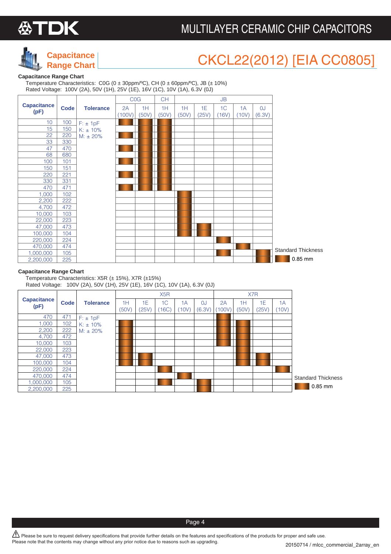

### MULTILAYER CERAMIC CHIP CAPACITORS



## CKCL22(2012) [EIA CC0805]

#### **Capacitance Range Chart**

 Temperature Characteristics: C0G (0 ± 30ppm/ºC), CH (0 ± 60ppm/ºC), JB (± 10%) Rated Voltage: 100V (2A), 50V (1H), 25V (1E), 16V (1C), 10V (1A), 6.3V (0J)

|                    |             |                  | <b>COG</b> |       | <b>CH</b> |       |       | <b>JB</b> |       |           |                           |
|--------------------|-------------|------------------|------------|-------|-----------|-------|-------|-----------|-------|-----------|---------------------------|
| <b>Capacitance</b> | <b>Code</b> | <b>Tolerance</b> | 2A         | 1H    | 1H        | 1H    | 1E    | 1C        | 1A    | <b>OJ</b> |                           |
| (pF)               |             |                  | (100V)     | (50V) | (50V)     | (50V) | (25V) | (16V)     | (10V) | (6.3V)    |                           |
| 10                 | 100         | $F: \pm 1pF$     |            |       |           |       |       |           |       |           |                           |
| 15                 | 150         | $K: \pm 10\%$    |            |       |           |       |       |           |       |           |                           |
| 22                 | 220         | $M: \pm 20\%$    |            |       |           |       |       |           |       |           |                           |
| 33                 | 330         |                  |            |       |           |       |       |           |       |           |                           |
| 47                 | 470         |                  |            |       |           |       |       |           |       |           |                           |
| 68                 | 680         |                  |            |       |           |       |       |           |       |           |                           |
| 100                | 101         |                  |            |       |           |       |       |           |       |           |                           |
| 150                | 151         |                  |            |       |           |       |       |           |       |           |                           |
| 220<br>330         | 221<br>331  |                  |            |       |           |       |       |           |       |           |                           |
| 470                | 471         |                  |            |       |           |       |       |           |       |           |                           |
| 1,000              | 102         |                  |            |       |           |       |       |           |       |           |                           |
| 2,200              | 222         |                  |            |       |           |       |       |           |       |           |                           |
| 4,700              | 472         |                  |            |       |           |       |       |           |       |           |                           |
| 10,000             | 103         |                  |            |       |           |       |       |           |       |           |                           |
| 22,000             | 223         |                  |            |       |           |       |       |           |       |           |                           |
| 47,000             | 473         |                  |            |       |           |       |       |           |       |           |                           |
| 100,000            | 104         |                  |            |       |           |       |       |           |       |           |                           |
| 220,000            | 224         |                  |            |       |           |       |       |           |       |           |                           |
| 470,000            | 474         |                  |            |       |           |       |       |           |       |           | <b>Standard Thickness</b> |
| 1,000,000          | 105         |                  |            |       |           |       |       |           |       |           |                           |
| 2,200,000          | 225         |                  |            |       |           |       |       |           |       |           | 0.85 mm                   |

#### **Capacitance Range Chart**

 Temperature Characteristics: X5R (± 15%), X7R (±15%) Rated Voltage: 100V (2A), 50V (1H), 25V (1E), 16V (1C), 10V (1A), 6.3V (0J)

|                    |      |                  |       |       | X <sub>5</sub> R |       |        |        |       | X7R   |       |                           |
|--------------------|------|------------------|-------|-------|------------------|-------|--------|--------|-------|-------|-------|---------------------------|
| <b>Capacitance</b> | Code | <b>Tolerance</b> | 1H    | 1Ε    | 1C               | 1A    | OJ     | 2A     | 1H    | 1E    | 1A    |                           |
| (pF)               |      |                  | (50V) | (25V) | 16C              | (10V) | (6.3V) | (100V) | (50V) | (25V) | (10V) |                           |
| 470                | 471  | $F: \pm 1pF$     |       |       |                  |       |        |        |       |       |       |                           |
| 1,000              | 102  | $K: \pm 10\%$    |       |       |                  |       |        |        |       |       |       |                           |
| 2,200              | 222  | $M: \pm 20\%$    |       |       |                  |       |        |        |       |       |       |                           |
| 4,700              | 472  |                  |       |       |                  |       |        |        |       |       |       |                           |
| 10,000             | 103  |                  |       |       |                  |       |        |        |       |       |       |                           |
| 22,000             | 223  |                  |       |       |                  |       |        |        |       |       |       |                           |
| 47,000             | 473  |                  |       |       |                  |       |        |        |       |       |       |                           |
| 100,000            | 104  |                  |       |       |                  |       |        |        |       |       |       |                           |
| 220,000            | 224  |                  |       |       |                  |       |        |        |       |       |       |                           |
| 470,000            | 474  |                  |       |       |                  |       |        |        |       |       |       | <b>Standard Thickness</b> |
| ,000,000           | 105  |                  |       |       |                  |       |        |        |       |       |       |                           |
| 2,200,000          | 225  |                  |       |       |                  |       |        |        |       |       |       | 0.85 mm                   |

 $\bigwedge$  Please be sure to request delivery specifications that provide further details on the features and specifications of the products for proper and safe use. Please note that the contents may change without any prior notice due to reasons such as upgrading.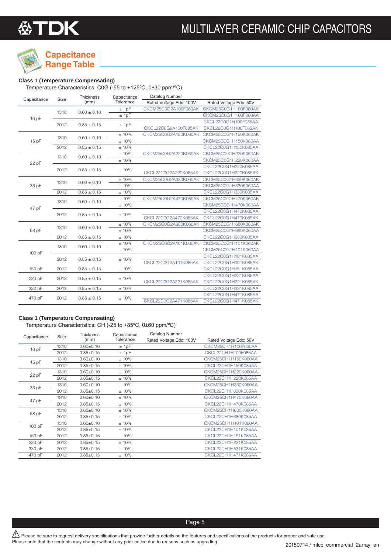# **公TDK**



## **Capacitance**

#### **Class 1 (Temperature Compensating) Range Table**

Temperature Characteristics: C0G (-55 to +125ºC, 0±30 ppm/ºC)

|             |                         | <b>Thickness</b> | Capacitance | Catalog Number          |                        |
|-------------|-------------------------|------------------|-------------|-------------------------|------------------------|
| Capacitance | Size                    | (mm)             | Tolerance   | Rated Voltage Edc: 100V | Rated Voltage Edc: 50V |
|             | 1310                    | $0.60 \pm 0.10$  | ± 1pF       | CKCM25C0G2A100F060AK    | CKCM25C0G1H100F060AK   |
|             |                         |                  | ± 1pF       |                         | CKCM25C0G1H100F060AA   |
| 10 pF       |                         |                  |             |                         | CKCL22C0G1H100F085AA   |
|             | 2012                    | $0.85 \pm 0.15$  | ± 1pF       | CKCL22C0G2A100F085AK    | CKCL22C0G1H100F085AK   |
|             | 1310                    | $0.60 \pm 0.10$  | ±10%        | CKCM25C0G2A150K060AK    | CKCM25C0G1H150K060AK   |
| 15 pF       |                         |                  | ±10%        |                         | CKCM25C0G1H150K060AA   |
|             | 2012<br>$0.85 \pm 0.15$ |                  | ±10%        |                         | CKCL22C0G1H150K085AA   |
|             | 1310                    | $0.60 \pm 0.10$  | ± 10%       | CKCM25C0G2A220K060AK    | CKCM25C0G1H220K060AK   |
|             |                         |                  | ±10%        |                         | CKCM25C0G1H220K060AA   |
| 22 pF       | 2012                    |                  | ±10%        |                         | CKCL22C0G1H220K085AA   |
|             |                         | $0.85 \pm 0.15$  |             | CKCL22C0G2A220K085AK    | CKCL22C0G1H220K085AK   |
|             |                         | $0.60 \pm 0.10$  | ±10%        | CKCM25C0G2A330K060AK    | CKCM25C0G1H330K060AK   |
| 33 pF       | 1310                    |                  | ±10%        |                         | CKCM25C0G1H330K060AA   |
|             | 2012                    | $0.85 \pm 0.15$  | ±10%        |                         | CKCL22C0G1H330K085AA   |
|             |                         |                  | ± 10%       | CKCM25C0G2A470K060AK    | CKCM25C0G1H470K060AK   |
|             | 1310                    | $0.60 \pm 0.10$  | ±10%        |                         | CKCM25C0G1H470K060AA   |
| 47 pF       | 2012                    | $0.85 \pm 0.15$  | ±10%        |                         | CKCL22C0G1H470K085AA   |
|             |                         |                  |             | CKCL22C0G2A470K085AK    | CKCL22C0G1H470K085AK   |
|             |                         |                  | ±10%        | CKCM25C0G2A680K060AK    | CKCM25C0G1H680K060AK   |
| 68 pF       | 1310                    | $0.60 \pm 0.10$  | ± 10%       |                         | CKCM25C0G1H680K060AA   |
|             | 2012                    | $0.85 \pm 0.15$  | ±10%        |                         | CKCL22C0G1H680K085AA   |
|             |                         |                  | ± 10%       | CKCM25C0G2A101K060AK    | CKCM25C0G1H101K060AK   |
|             | 1310                    | $0.60 \pm 0.10$  | ±10%        |                         | CKCM25C0G1H101K060AA   |
| 100 pF      |                         |                  |             |                         | CKCL22C0G1H101K085AA   |
|             | 2012                    | $0.85 \pm 0.15$  | ±10%        | CKCL22C0G2A101K085AK    | CKCL22C0G1H101K085AK   |
| 150 pF      | 2012                    | $0.85 \pm 0.15$  | ±10%        |                         | CKCL22C0G1H151K085AA   |
|             |                         |                  |             |                         | CKCL22C0G1H221K085AA   |
| 220 pF      | 2012                    | $0.85 \pm 0.15$  | ±10%        | CKCL22C0G2A221K085AK    | CKCL22C0G1H221K085AK   |
| 330 pF      | 2012                    | $0.85 \pm 0.15$  | ±10%        |                         | CKCL22C0G1H331K085AA   |
|             |                         |                  |             |                         | CKCL22C0G1H471K085AA   |
| 470 pF      | 2012                    | $0.85 \pm 0.15$  | ±10%        | CKCL22C0G2A471K085AK    | CKCL22C0G1H471K085AK   |

#### **Class 1 (Temperature Compensating)**

Temperature Characteristics: CH (-25 to +85ºC, 0±60 ppm/ºC)

|             | <b>Size</b> | <b>Thickness</b> | Capacitance | Catalog Number          |                        |
|-------------|-------------|------------------|-------------|-------------------------|------------------------|
| Capacitance |             | (mm)             | Tolerance   | Rated Voltage Edc: 100V | Rated Voltage Edc: 50V |
| 10pF        | 1310        | $0.60 + 0.10$    | ± 1pF       |                         | CKCM25CH1H100F060AA    |
|             | 2012        | $0.85 + 0.15$    | ± 1pF       |                         | CKCL22CH1H100F085AA    |
| 15pF        | 1310        | $0.60 + 0.10$    | $±10\%$     |                         | CKCM25CH1H150K060AA    |
|             | 2012        | $0.85 + 0.15$    | $±10\%$     |                         | CKCL22CH1H150K085AA    |
| 22 pF       | 1310        | $0.60 + 0.10$    | $±10\%$     |                         | CKCM25CH1H220K060AA    |
|             | 2012        | $0.85 + 0.15$    | $±10\%$     |                         | CKCL22CH1H220K085AA    |
| 33 pF       | 1310        | $0.60 + 0.10$    | $±10\%$     |                         | CKCM25CH1H330K060AA    |
|             | 2012        | $0.85 + 0.15$    | $±10\%$     |                         | CKCL22CH1H330K085AA    |
| 47 pF       | 1310        | $0.60 + 0.10$    | $±10\%$     |                         | CKCM25CH1H470K060AA    |
|             | 2012        | $0.85 + 0.15$    | $±10\%$     |                         | CKCL22CH1H470K085AA    |
| 68 pF       | 1310        | $0.60 + 0.10$    | $±10\%$     |                         | CKCM25CH1H680K060AA    |
|             | 2012        | $0.85 + 0.15$    | $±10\%$     |                         | CKCL22CH1H680K085AA    |
| 100 pF      | 1310        | $0.60 + 0.10$    | $±10\%$     |                         | CKCM25CH1H101K060AA    |
|             | 2012        | $0.85 + 0.15$    | $±10\%$     |                         | CKCL22CH1H101K085AA    |
| 150 pF      | 2012        | $0.85 + 0.15$    | $±10\%$     |                         | CKCL22CH1H151K085AA    |
| 220 pF      | 2012        | $0.85 + 0.15$    | $±10\%$     |                         | CKCL22CH1H221K085AA    |
| 330 pF      | 2012        | $0.85 + 0.15$    | $±10\%$     |                         | CKCL22CH1H331K085AA    |
| 470 pF      | 2012        | $0.85 + 0.15$    | $±10\%$     |                         | CKCL22CH1H471K085AA    |
|             |             |                  |             |                         |                        |

 $\hat{P}$  Please be sure to request delivery specifications that provide further details on the features and specifications of the products for proper and safe use. Please note that the contents may change without any prior notice due to reasons such as upgrading.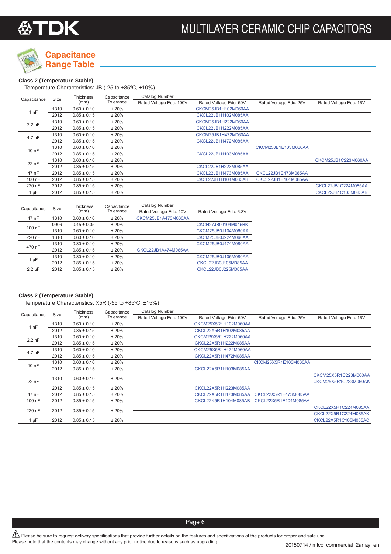



#### **Class 2 (Temperature Stable)**

Temperature Characteristics: JB (-25 to +85ºC, ±10%)

| Capacitance             | Size | <b>Thickness</b> | Capacitance | Catalog Number          |                        |                        |                        |
|-------------------------|------|------------------|-------------|-------------------------|------------------------|------------------------|------------------------|
|                         |      | (mm)             | Tolerance   | Rated Voltage Edc: 100V | Rated Voltage Edc: 50V | Rated Voltage Edc: 25V | Rated Voltage Edc: 16V |
| 1nF                     | 1310 | $0.60 \pm 0.10$  | ±20%        |                         | CKCM25JB1H102M060AA    |                        |                        |
| 2012<br>$0.85 \pm 0.15$ |      | ±20%             |             | CKCL22JB1H102M085AA     |                        |                        |                        |
| $2.2$ nF                | 1310 | $0.60 \pm 0.10$  | ±20%        |                         | CKCM25JB1H222M060AA    |                        |                        |
|                         | 2012 | $0.85 \pm 0.15$  | ±20%        |                         | CKCL22JB1H222M085AA    |                        |                        |
| 4.7 nF                  | 1310 | $0.60 \pm 0.10$  | ±20%        |                         | CKCM25JB1H472M060AA    |                        |                        |
|                         | 2012 | $0.85 \pm 0.15$  | ±20%        |                         | CKCL22JB1H472M085AA    |                        |                        |
| $100$ nF                | 1310 | $0.60 \pm 0.10$  | ±20%        |                         |                        | CKCM25JB1E103M060AA    |                        |
|                         | 2012 | $0.85 \pm 0.15$  | ±20%        |                         | CKCL22JB1H103M085AA    |                        |                        |
| 22 nF                   | 1310 | $0.60 \pm 0.10$  | ±20%        |                         |                        |                        | CKCM25JB1C223M060AA    |
|                         | 2012 | $0.85 \pm 0.15$  | ±20%        |                         | CKCL22JB1H223M085AA    |                        |                        |
| 47 nF                   | 2012 | $0.85 \pm 0.15$  | ±20%        |                         | CKCL22JB1H473M085AA    | CKCL22JB1E473M085AA    |                        |
| 100 nF                  | 2012 | $0.85 \pm 0.15$  | ±20%        |                         | CKCL22JB1H104M085AB    | CKCL22JB1E104M085AA    |                        |
| 220 nF                  | 2012 | $0.85 \pm 0.15$  | ±20%        |                         |                        |                        | CKCL22JB1C224M085AA    |
| $1 \mu F$               | 2012 | $0.85 \pm 0.15$  | ±20%        |                         |                        |                        | CKCL22JB1C105M085AB    |

| Capacitance | Size | <b>Thickness</b> | Capacitance | Catalog Number         |                         |
|-------------|------|------------------|-------------|------------------------|-------------------------|
|             |      | (mm)             | Tolerance   | Rated Voltage Edc: 10V | Rated Voltage Edc: 6.3V |
| 47 nF       | 1310 | $0.60 \pm 0.10$  | ±20%        | CKCM25JB1A473M060AA    |                         |
| 100 nF      | 0906 | $0.45 \pm 0.05$  | ±20%        |                        | CKCN27JB0J104M045BK     |
|             | 1310 | $0.60 \pm 0.10$  | ±20%        |                        | CKCM25JB0J104M060AA     |
| 220 nF      | 1310 | $0.60 \pm 0.10$  | ±20%        |                        | CKCM25JB0J224M060AA     |
| 470 nF      | 1310 | $0.80 \pm 0.10$  | ±20%        |                        | CKCM25JB0J474M080AA     |
|             | 2012 | $0.85 \pm 0.15$  | ± 20%       | CKCL22JB1A474M085AA    |                         |
|             | 1310 | $0.80 \pm 0.10$  | ±20%        |                        | CKCM25JB0J105M080AA     |
| 1 µF        | 2012 | $0.85 \pm 0.15$  | ±20%        |                        | CKCL22JB0J105M085AA     |
| $2.2 \mu F$ | 2012 | $0.85 \pm 0.15$  | ±20%        |                        | CKCL22JB0J225M085AA     |

#### **Class 2 (Temperature Stable)**

Temperature Characteristics: X5R (-55 to +85ºC, ±15%)

| Capacitance | Size | Thickness       | Capacitance | Catalog Number          |                        |                        |                        |
|-------------|------|-----------------|-------------|-------------------------|------------------------|------------------------|------------------------|
|             |      | (mm)            | Tolerance   | Rated Voltage Edc: 100V | Rated Voltage Edc: 50V | Rated Voltage Edc: 25V | Rated Voltage Edc: 16V |
| 1 nF        | 1310 | $0.60 \pm 0.10$ | ±20%        |                         | CKCM25X5R1H102M060AA   |                        |                        |
|             | 2012 | $0.85 \pm 0.15$ | ±20%        |                         | CKCL22X5R1H102M085AA   |                        |                        |
| $2.2$ nF    | 1310 | $0.60 \pm 0.10$ | ±20%        |                         | CKCM25X5R1H222M060AA   |                        |                        |
|             | 2012 | $0.85 \pm 0.15$ | ±20%        |                         | CKCL22X5R1H222M085AA   |                        |                        |
| 4.7 nF      | 1310 | $0.60 \pm 0.10$ | ±20%        |                         | CKCM25X5R1H472M060AA   |                        |                        |
|             | 2012 | $0.85 \pm 0.15$ | ±20%        |                         | CKCL22X5R1H472M085AA   |                        |                        |
| 10 nF       | 1310 | $0.60 \pm 0.10$ | ±20%        |                         |                        | CKCM25X5R1E103M060AA   |                        |
|             | 2012 | $0.85 \pm 0.15$ | ±20%        |                         | CKCL22X5R1H103M085AA   |                        |                        |
|             | 1310 | $0.60 \pm 0.10$ | ±20%        |                         |                        |                        | CKCM25X5R1C223M060AA   |
| 22 nF       |      |                 |             |                         |                        |                        | CKCM25X5R1C223M060AK   |
|             | 2012 | $0.85 \pm 0.15$ | ±20%        |                         | CKCL22X5R1H223M085AA   |                        |                        |
| 47 nF       | 2012 | $0.85 \pm 0.15$ | ±20%        |                         | CKCL22X5R1H473M085AA   | CKCL22X5R1E473M085AA   |                        |
| 100 nF      | 2012 | $0.85 \pm 0.15$ | ±20%        |                         | CKCL22X5R1H104M085AB   | CKCL22X5R1E104M085AA   |                        |
| 220 nF      | 2012 | $0.85 \pm 0.15$ | ±20%        |                         |                        |                        | CKCL22X5R1C224M085AA   |
|             |      |                 |             |                         |                        |                        | CKCL22X5R1C224M085AK   |
| $1 \mu F$   | 2012 | $0.85 \pm 0.15$ | ±20%        |                         |                        |                        | CKCL22X5R1C105M085AC   |
|             |      |                 |             |                         |                        |                        |                        |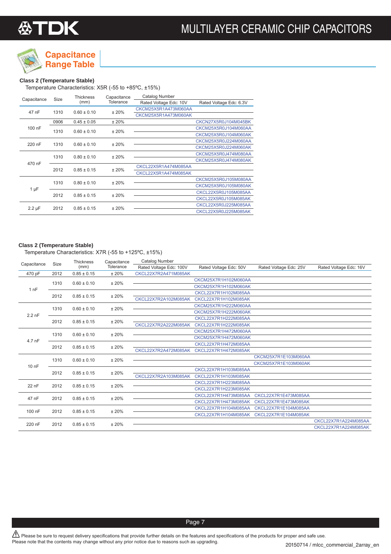

## **Capacitance**

**Range Table**

#### **Class 2 (Temperature Stable)**

Temperature Characteristics: X5R (-55 to +85ºC, ±15%)

| Capacitance | <b>Size</b> | <b>Thickness</b> | Capacitance | Catalog Number         |                         |
|-------------|-------------|------------------|-------------|------------------------|-------------------------|
|             |             | (mm)             | Tolerance   | Rated Voltage Edc: 10V | Rated Voltage Edc: 6.3V |
| 47 nF       | 1310        | $0.60 \pm 0.10$  | ± 20%       | CKCM25X5R1A473M060AA   |                         |
|             |             |                  |             | CKCM25X5R1A473M060AK   |                         |
|             | 0906        | $0.45 \pm 0.05$  | ±20%        |                        | CKCN27X5R0J104M045BK    |
| 100 nF      | 1310        |                  |             |                        | CKCM25X5R0J104M060AA    |
|             |             | $0.60 \pm 0.10$  | ± 20%       |                        | CKCM25X5R0J104M060AK    |
| 220 nF      | 1310        | $0.60 \pm 0.10$  | ± 20%       |                        | CKCM25X5R0J224M060AA    |
|             |             |                  |             |                        | CKCM25X5R0J224M060AK    |
|             | 1310        |                  |             |                        | CKCM25X5R0J474M080AA    |
| 470 nF      |             | $0.80 \pm 0.10$  | ±20%        |                        | CKCM25X5R0J474M080AK    |
|             |             |                  |             | CKCL22X5R1A474M085AA   |                         |
|             | 2012        | $0.85 \pm 0.15$  | ± 20%       | CKCL22X5R1A474M085AK   |                         |
|             | 1310        | $0.80 \pm 0.10$  |             |                        | CKCM25X5R0J105M080AA    |
|             |             |                  | ± 20%       |                        | CKCM25X5R0J105M080AK    |
| 1 µF        | 2012        | $0.85 \pm 0.15$  |             |                        | CKCL22X5R0J105M085AA    |
|             |             |                  | ±20%        |                        | CKCL22X5R0J105M085AK    |
|             |             |                  |             |                        | CKCL22X5R0J225M085AA    |
| $2.2 \mu F$ | 2012        | $0.85 \pm 0.15$  | ± 20%       |                        | CKCL22X5R0J225M085AK    |

#### **Class 2 (Temperature Stable)**

Temperature Characteristics: X7R (-55 to +125ºC, ±15%)

| Capacitance | Size | <b>Thickness</b><br>(mm) | Capacitance<br>Tolerance | <b>Catalog Number</b>   |                        |                        |                        |
|-------------|------|--------------------------|--------------------------|-------------------------|------------------------|------------------------|------------------------|
|             |      |                          |                          | Rated Voltage Edc: 100V | Rated Voltage Edc: 50V | Rated Voltage Edc: 25V | Rated Voltage Edc: 16V |
| 470 pF      | 2012 | $0.85 \pm 0.15$          | ±20%                     | CKCL22X7R2A471M085AK    |                        |                        |                        |
| 1nF         | 1310 | $0.60 \pm 0.10$          | ±20%                     |                         | CKCM25X7R1H102M060AA   |                        |                        |
|             |      |                          |                          |                         | CKCM25X7R1H102M060AK   |                        |                        |
|             | 2012 | $0.85 \pm 0.15$          | ±20%                     |                         | CKCL22X7R1H102M085AA   |                        |                        |
|             |      |                          |                          | CKCL22X7R2A102M085AK    | CKCL22X7R1H102M085AK   |                        |                        |
| $2.2$ nF    | 1310 | $0.60 \pm 0.10$          | ±20%                     |                         | CKCM25X7R1H222M060AA   |                        |                        |
|             |      |                          |                          |                         | CKCM25X7R1H222M060AK   |                        |                        |
|             | 2012 | $0.85 \pm 0.15$          | ±20%                     |                         | CKCL22X7R1H222M085AA   |                        |                        |
|             |      |                          |                          | CKCL22X7R2A222M085AK    | CKCL22X7R1H222M085AK   |                        |                        |
| 4.7 nF      | 1310 | $0.60 \pm 0.10$          | ±20%                     |                         | CKCM25X7R1H472M060AA   |                        |                        |
|             |      |                          |                          |                         | CKCM25X7R1H472M060AK   |                        |                        |
|             | 2012 | $0.85 \pm 0.15$          | ±20%                     |                         | CKCL22X7R1H472M085AA   |                        |                        |
|             |      |                          |                          | CKCL22X7R2A472M085AK    | CKCL22X7R1H472M085AK   |                        |                        |
| 10 nF       | 1310 | $0.60 \pm 0.10$          | ±20%                     |                         |                        | CKCM25X7R1E103M060AA   |                        |
|             |      |                          |                          |                         |                        | CKCM25X7R1E103M060AK   |                        |
|             | 2012 | $0.85 \pm 0.15$          | ±20%                     |                         | CKCL22X7R1H103M085AA   |                        |                        |
|             |      |                          |                          | CKCL22X7R2A103M085AK    | CKCL22X7R1H103M085AK   |                        |                        |
| 22 nF       | 2012 | $0.85 \pm 0.15$          | ±20%                     |                         | CKCL22X7R1H223M085AA   |                        |                        |
|             |      |                          |                          |                         | CKCL22X7R1H223M085AK   |                        |                        |
| 47 nF       | 2012 | $0.85 \pm 0.15$          | ±20%                     |                         | CKCL22X7R1H473M085AA   | CKCL22X7R1E473M085AA   |                        |
|             |      |                          |                          |                         | CKCL22X7R1H473M085AK   | CKCL22X7R1E473M085AK   |                        |
| 100 nF      | 2012 | $0.85 \pm 0.15$          | ±20%                     |                         | CKCL22X7R1H104M085AA   | CKCL22X7R1E104M085AA   |                        |
|             |      |                          |                          |                         | CKCL22X7R1H104M085AK   | CKCL22X7R1E104M085AK   |                        |
| 220 nF      | 2012 | $0.85 \pm 0.15$          | ±20%                     |                         |                        |                        | CKCL22X7R1A224M085AA   |
|             |      |                          |                          |                         |                        |                        | CKCL22X7R1A224M085AK   |

 $\hat{P}$  Please be sure to request delivery specifications that provide further details on the features and specifications of the products for proper and safe use. Please note that the contents may change without any prior notice due to reasons such as upgrading.